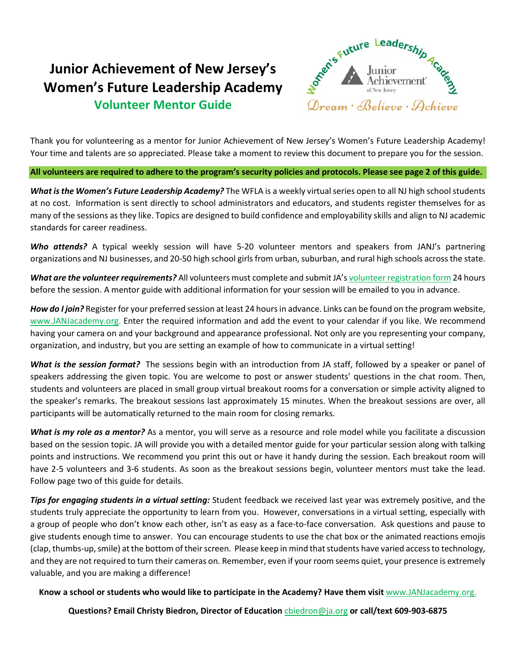## **Junior Achievement of New Jersey's Women's Future Leadership Academy Volunteer Mentor Guide**



Thank you for volunteering as a mentor for Junior Achievement of New Jersey's Women's Future Leadership Academy! Your time and talents are so appreciated. Please take a moment to review this document to prepare you for the session.

**All volunteers are required to adhere to the program's security policies and protocols. Please see page 2 of this guide.**

*What is the Women's Future Leadership Academy?* The WFLA is a weekly virtual series open to all NJ high school students at no cost. Information is sent directly to school administrators and educators, and students register themselves for as many of the sessions as they like. Topics are designed to build confidence and employability skills and align to NJ academic standards for career readiness.

*Who attends?* A typical weekly session will have 5-20 volunteer mentors and speakers from JANJ's partnering organizations and NJ businesses, and 20-50 high school girls from urban, suburban, and rural high schools across the state.

*What are the volunteer requirements?* All volunteers must complete and submit JA'[s volunteer registration form](https://form.jotform.com/212573527206150) 24 hours before the session. A mentor guide with additional information for your session will be emailed to you in advance.

*How do I join?* Register for your preferred session at least 24 hours in advance. Links can be found on the program website, [www.JANJacademy.org.](http://www.janjacademy.org/) Enter the required information and add the event to your calendar if you like. We recommend having your camera on and your background and appearance professional. Not only are you representing your company, organization, and industry, but you are setting an example of how to communicate in a virtual setting!

*What is the session format?* The sessions begin with an introduction from JA staff, followed by a speaker or panel of speakers addressing the given topic. You are welcome to post or answer students' questions in the chat room. Then, students and volunteers are placed in small group virtual breakout rooms for a conversation or simple activity aligned to the speaker's remarks. The breakout sessions last approximately 15 minutes. When the breakout sessions are over, all participants will be automatically returned to the main room for closing remarks.

*What is my role as a mentor?* As a mentor, you will serve as a resource and role model while you facilitate a discussion based on the session topic. JA will provide you with a detailed mentor guide for your particular session along with talking points and instructions. We recommend you print this out or have it handy during the session. Each breakout room will have 2-5 volunteers and 3-6 students. As soon as the breakout sessions begin, volunteer mentors must take the lead. Follow page two of this guide for details.

*Tips for engaging students in a virtual setting:* Student feedback we received last year was extremely positive, and the students truly appreciate the opportunity to learn from you. However, conversations in a virtual setting, especially with a group of people who don't know each other, isn't as easy as a face-to-face conversation. Ask questions and pause to give students enough time to answer. You can encourage students to use the chat box or the animated reactions emojis (clap, thumbs-up, smile) at the bottom of their screen. Please keep in mind that students have varied access to technology, and they are not required to turn their cameras on. Remember, even if your room seems quiet, your presence is extremely valuable, and you are making a difference!

## **Know a school or students who would like to participate in the Academy? Have them visit** [www.JANJacademy.org.](www.JANJacademy.org)

**Questions? Email Christy Biedron, Director of Education** [cbiedron@ja.org](mailto:cbiedron@ja.org) **or call/text 609-903-6875**